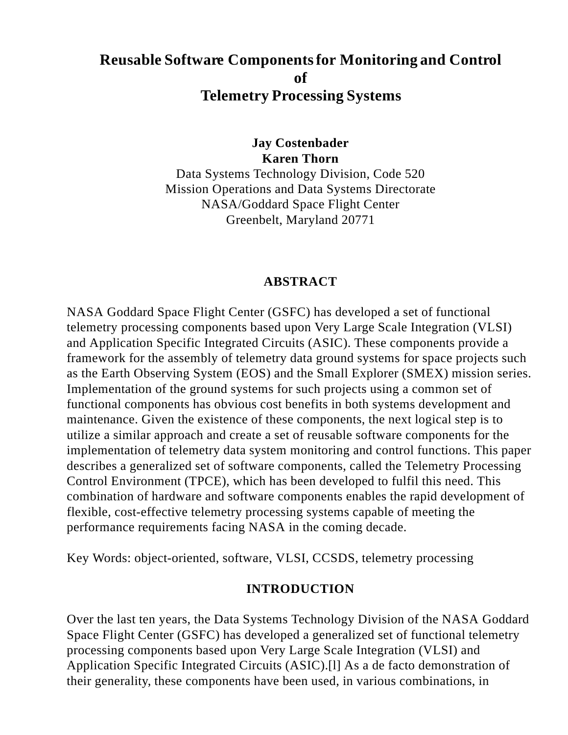# **Reusable Software Components for Monitoring and Control of Telemetry Processing Systems**

**Jay Costenbader Karen Thorn**

Data Systems Technology Division, Code 520 Mission Operations and Data Systems Directorate NASA/Goddard Space Flight Center Greenbelt, Maryland 20771

#### **ABSTRACT**

NASA Goddard Space Flight Center (GSFC) has developed a set of functional telemetry processing components based upon Very Large Scale Integration (VLSI) and Application Specific Integrated Circuits (ASIC). These components provide a framework for the assembly of telemetry data ground systems for space projects such as the Earth Observing System (EOS) and the Small Explorer (SMEX) mission series. Implementation of the ground systems for such projects using a common set of functional components has obvious cost benefits in both systems development and maintenance. Given the existence of these components, the next logical step is to utilize a similar approach and create a set of reusable software components for the implementation of telemetry data system monitoring and control functions. This paper describes a generalized set of software components, called the Telemetry Processing Control Environment (TPCE), which has been developed to fulfil this need. This combination of hardware and software components enables the rapid development of flexible, cost-effective telemetry processing systems capable of meeting the performance requirements facing NASA in the coming decade.

Key Words: object-oriented, software, VLSI, CCSDS, telemetry processing

### **INTRODUCTION**

Over the last ten years, the Data Systems Technology Division of the NASA Goddard Space Flight Center (GSFC) has developed a generalized set of functional telemetry processing components based upon Very Large Scale Integration (VLSI) and Application Specific Integrated Circuits (ASIC).[l] As a de facto demonstration of their generality, these components have been used, in various combinations, in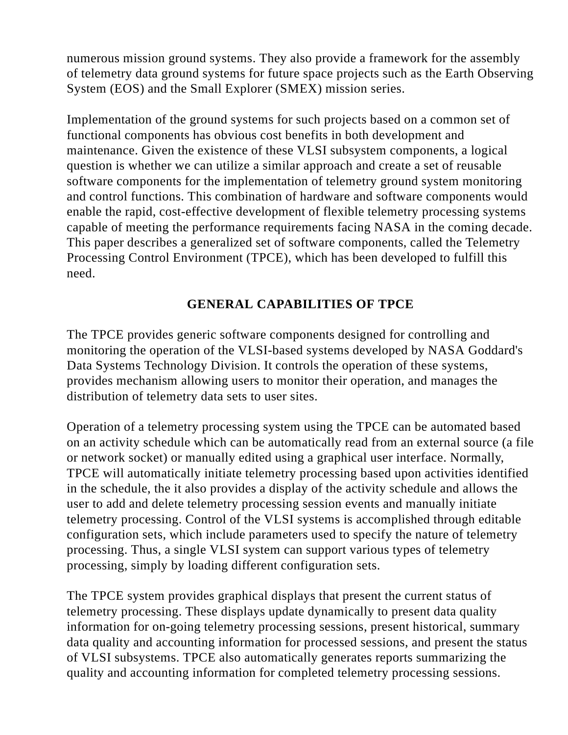numerous mission ground systems. They also provide a framework for the assembly of telemetry data ground systems for future space projects such as the Earth Observing System (EOS) and the Small Explorer (SMEX) mission series.

Implementation of the ground systems for such projects based on a common set of functional components has obvious cost benefits in both development and maintenance. Given the existence of these VLSI subsystem components, a logical question is whether we can utilize a similar approach and create a set of reusable software components for the implementation of telemetry ground system monitoring and control functions. This combination of hardware and software components would enable the rapid, cost-effective development of flexible telemetry processing systems capable of meeting the performance requirements facing NASA in the coming decade. This paper describes a generalized set of software components, called the Telemetry Processing Control Environment (TPCE), which has been developed to fulfill this need.

## **GENERAL CAPABILITIES OF TPCE**

The TPCE provides generic software components designed for controlling and monitoring the operation of the VLSI-based systems developed by NASA Goddard's Data Systems Technology Division. It controls the operation of these systems, provides mechanism allowing users to monitor their operation, and manages the distribution of telemetry data sets to user sites.

Operation of a telemetry processing system using the TPCE can be automated based on an activity schedule which can be automatically read from an external source (a file or network socket) or manually edited using a graphical user interface. Normally, TPCE will automatically initiate telemetry processing based upon activities identified in the schedule, the it also provides a display of the activity schedule and allows the user to add and delete telemetry processing session events and manually initiate telemetry processing. Control of the VLSI systems is accomplished through editable configuration sets, which include parameters used to specify the nature of telemetry processing. Thus, a single VLSI system can support various types of telemetry processing, simply by loading different configuration sets.

The TPCE system provides graphical displays that present the current status of telemetry processing. These displays update dynamically to present data quality information for on-going telemetry processing sessions, present historical, summary data quality and accounting information for processed sessions, and present the status of VLSI subsystems. TPCE also automatically generates reports summarizing the quality and accounting information for completed telemetry processing sessions.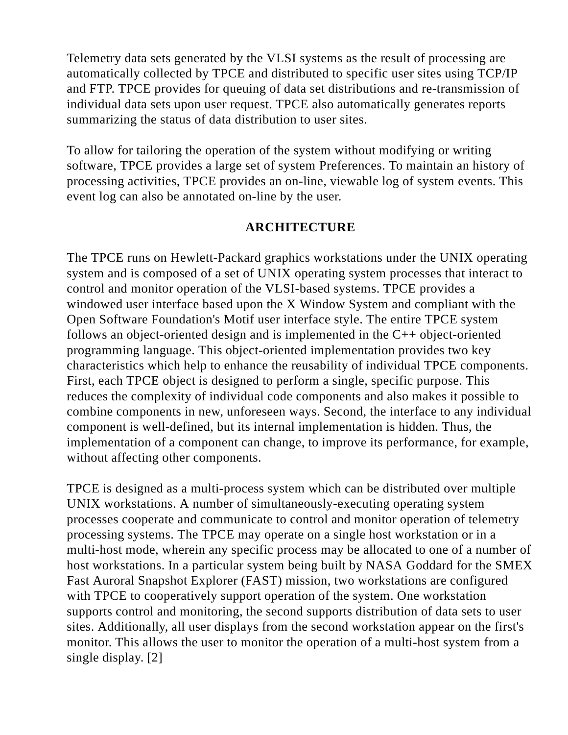Telemetry data sets generated by the VLSI systems as the result of processing are automatically collected by TPCE and distributed to specific user sites using TCP/IP and FTP. TPCE provides for queuing of data set distributions and re-transmission of individual data sets upon user request. TPCE also automatically generates reports summarizing the status of data distribution to user sites.

To allow for tailoring the operation of the system without modifying or writing software, TPCE provides a large set of system Preferences. To maintain an history of processing activities, TPCE provides an on-line, viewable log of system events. This event log can also be annotated on-line by the user.

#### **ARCHITECTURE**

The TPCE runs on Hewlett-Packard graphics workstations under the UNIX operating system and is composed of a set of UNIX operating system processes that interact to control and monitor operation of the VLSI-based systems. TPCE provides a windowed user interface based upon the X Window System and compliant with the Open Software Foundation's Motif user interface style. The entire TPCE system follows an object-oriented design and is implemented in the C++ object-oriented programming language. This object-oriented implementation provides two key characteristics which help to enhance the reusability of individual TPCE components. First, each TPCE object is designed to perform a single, specific purpose. This reduces the complexity of individual code components and also makes it possible to combine components in new, unforeseen ways. Second, the interface to any individual component is well-defined, but its internal implementation is hidden. Thus, the implementation of a component can change, to improve its performance, for example, without affecting other components.

TPCE is designed as a multi-process system which can be distributed over multiple UNIX workstations. A number of simultaneously-executing operating system processes cooperate and communicate to control and monitor operation of telemetry processing systems. The TPCE may operate on a single host workstation or in a multi-host mode, wherein any specific process may be allocated to one of a number of host workstations. In a particular system being built by NASA Goddard for the SMEX Fast Auroral Snapshot Explorer (FAST) mission, two workstations are configured with TPCE to cooperatively support operation of the system. One workstation supports control and monitoring, the second supports distribution of data sets to user sites. Additionally, all user displays from the second workstation appear on the first's monitor. This allows the user to monitor the operation of a multi-host system from a single display. [2]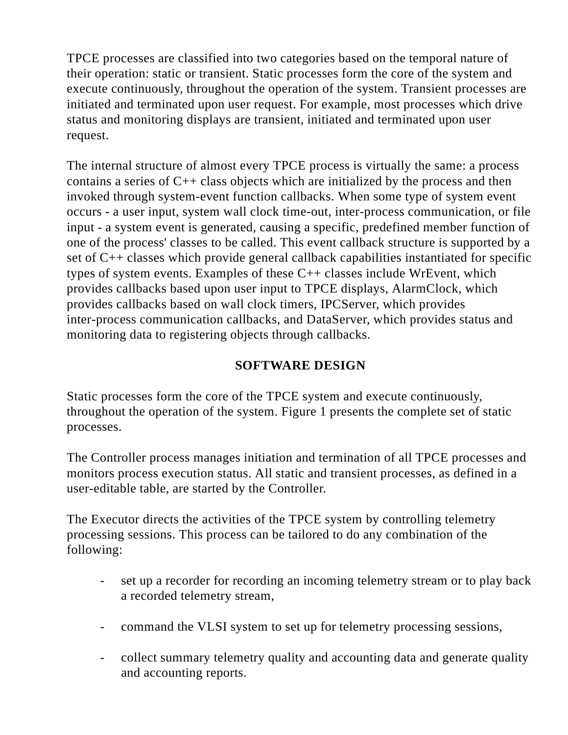TPCE processes are classified into two categories based on the temporal nature of their operation: static or transient. Static processes form the core of the system and execute continuously, throughout the operation of the system. Transient processes are initiated and terminated upon user request. For example, most processes which drive status and monitoring displays are transient, initiated and terminated upon user request.

The internal structure of almost every TPCE process is virtually the same: a process contains a series of C++ class objects which are initialized by the process and then invoked through system-event function callbacks. When some type of system event occurs - a user input, system wall clock time-out, inter-process communication, or file input - a system event is generated, causing a specific, predefined member function of one of the process' classes to be called. This event callback structure is supported by a set of C++ classes which provide general callback capabilities instantiated for specific types of system events. Examples of these C++ classes include WrEvent, which provides callbacks based upon user input to TPCE displays, AlarmClock, which provides callbacks based on wall clock timers, IPCServer, which provides inter-process communication callbacks, and DataServer, which provides status and monitoring data to registering objects through callbacks.

## **SOFTWARE DESIGN**

Static processes form the core of the TPCE system and execute continuously, throughout the operation of the system. Figure 1 presents the complete set of static processes.

The Controller process manages initiation and termination of all TPCE processes and monitors process execution status. All static and transient processes, as defined in a user-editable table, are started by the Controller.

The Executor directs the activities of the TPCE system by controlling telemetry processing sessions. This process can be tailored to do any combination of the following:

- set up a recorder for recording an incoming telemetry stream or to play back a recorded telemetry stream,
- command the VLSI system to set up for telemetry processing sessions,
- collect summary telemetry quality and accounting data and generate quality and accounting reports.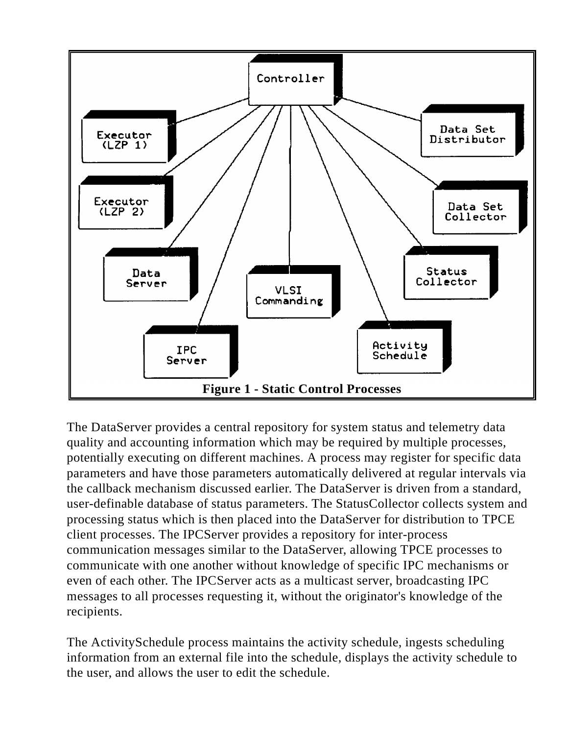

The DataServer provides a central repository for system status and telemetry data quality and accounting information which may be required by multiple processes, potentially executing on different machines. A process may register for specific data parameters and have those parameters automatically delivered at regular intervals via the callback mechanism discussed earlier. The DataServer is driven from a standard, user-definable database of status parameters. The StatusCollector collects system and processing status which is then placed into the DataServer for distribution to TPCE client processes. The IPCServer provides a repository for inter-process communication messages similar to the DataServer, allowing TPCE processes to communicate with one another without knowledge of specific IPC mechanisms or even of each other. The IPCServer acts as a multicast server, broadcasting IPC messages to all processes requesting it, without the originator's knowledge of the recipients.

The ActivitySchedule process maintains the activity schedule, ingests scheduling information from an external file into the schedule, displays the activity schedule to the user, and allows the user to edit the schedule.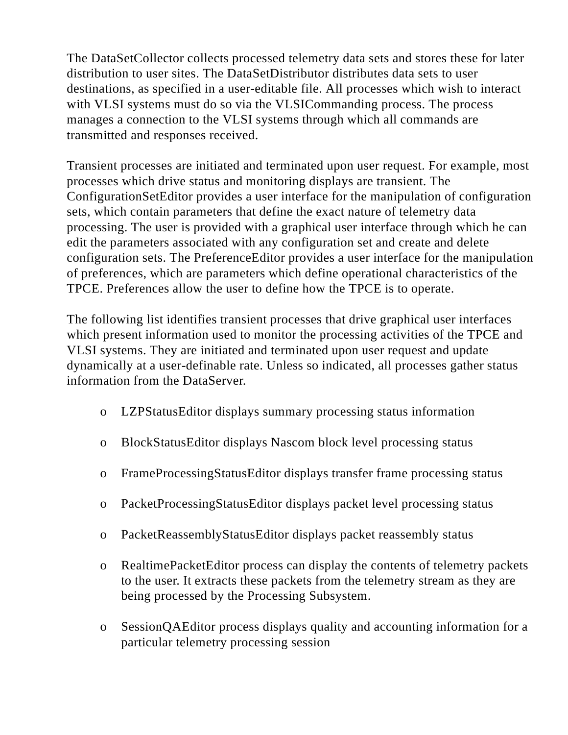The DataSetCollector collects processed telemetry data sets and stores these for later distribution to user sites. The DataSetDistributor distributes data sets to user destinations, as specified in a user-editable file. All processes which wish to interact with VLSI systems must do so via the VLSICommanding process. The process manages a connection to the VLSI systems through which all commands are transmitted and responses received.

Transient processes are initiated and terminated upon user request. For example, most processes which drive status and monitoring displays are transient. The ConfigurationSetEditor provides a user interface for the manipulation of configuration sets, which contain parameters that define the exact nature of telemetry data processing. The user is provided with a graphical user interface through which he can edit the parameters associated with any configuration set and create and delete configuration sets. The PreferenceEditor provides a user interface for the manipulation of preferences, which are parameters which define operational characteristics of the TPCE. Preferences allow the user to define how the TPCE is to operate.

The following list identifies transient processes that drive graphical user interfaces which present information used to monitor the processing activities of the TPCE and VLSI systems. They are initiated and terminated upon user request and update dynamically at a user-definable rate. Unless so indicated, all processes gather status information from the DataServer.

- o LZPStatusEditor displays summary processing status information
- o BlockStatusEditor displays Nascom block level processing status
- o FrameProcessingStatusEditor displays transfer frame processing status
- o PacketProcessingStatusEditor displays packet level processing status
- o PacketReassemblyStatusEditor displays packet reassembly status
- o RealtimePacketEditor process can display the contents of telemetry packets to the user. It extracts these packets from the telemetry stream as they are being processed by the Processing Subsystem.
- o SessionQAEditor process displays quality and accounting information for a particular telemetry processing session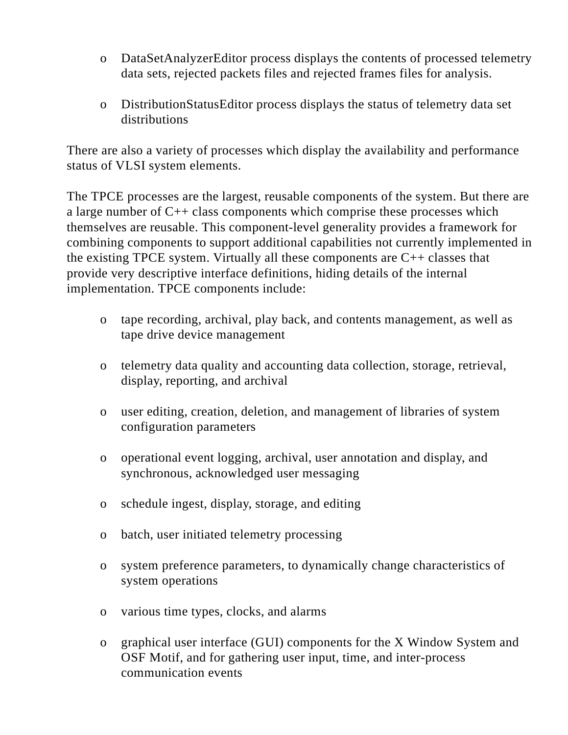- o DataSetAnalyzerEditor process displays the contents of processed telemetry data sets, rejected packets files and rejected frames files for analysis.
- o DistributionStatusEditor process displays the status of telemetry data set distributions

There are also a variety of processes which display the availability and performance status of VLSI system elements.

The TPCE processes are the largest, reusable components of the system. But there are a large number of C++ class components which comprise these processes which themselves are reusable. This component-level generality provides a framework for combining components to support additional capabilities not currently implemented in the existing TPCE system. Virtually all these components are C++ classes that provide very descriptive interface definitions, hiding details of the internal implementation. TPCE components include:

- o tape recording, archival, play back, and contents management, as well as tape drive device management
- o telemetry data quality and accounting data collection, storage, retrieval, display, reporting, and archival
- o user editing, creation, deletion, and management of libraries of system configuration parameters
- o operational event logging, archival, user annotation and display, and synchronous, acknowledged user messaging
- o schedule ingest, display, storage, and editing
- o batch, user initiated telemetry processing
- o system preference parameters, to dynamically change characteristics of system operations
- o various time types, clocks, and alarms
- o graphical user interface (GUI) components for the X Window System and OSF Motif, and for gathering user input, time, and inter-process communication events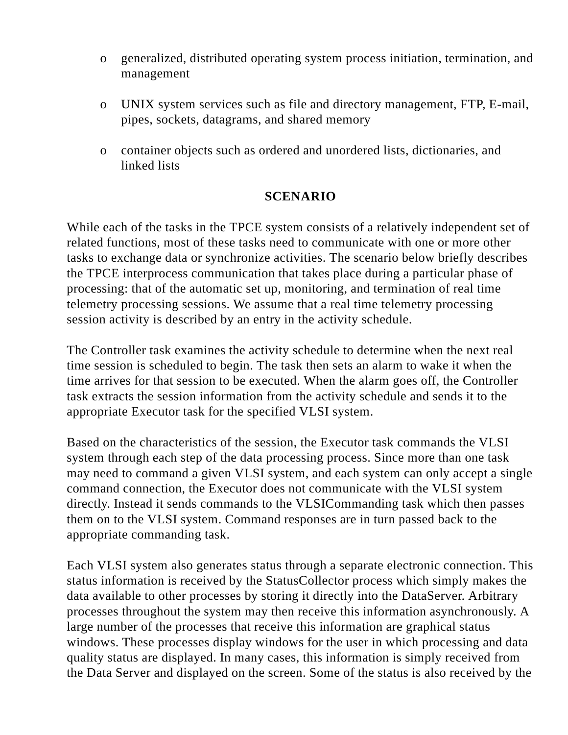- o generalized, distributed operating system process initiation, termination, and management
- o UNIX system services such as file and directory management, FTP, E-mail, pipes, sockets, datagrams, and shared memory
- o container objects such as ordered and unordered lists, dictionaries, and linked lists

### **SCENARIO**

While each of the tasks in the TPCE system consists of a relatively independent set of related functions, most of these tasks need to communicate with one or more other tasks to exchange data or synchronize activities. The scenario below briefly describes the TPCE interprocess communication that takes place during a particular phase of processing: that of the automatic set up, monitoring, and termination of real time telemetry processing sessions. We assume that a real time telemetry processing session activity is described by an entry in the activity schedule.

The Controller task examines the activity schedule to determine when the next real time session is scheduled to begin. The task then sets an alarm to wake it when the time arrives for that session to be executed. When the alarm goes off, the Controller task extracts the session information from the activity schedule and sends it to the appropriate Executor task for the specified VLSI system.

Based on the characteristics of the session, the Executor task commands the VLSI system through each step of the data processing process. Since more than one task may need to command a given VLSI system, and each system can only accept a single command connection, the Executor does not communicate with the VLSI system directly. Instead it sends commands to the VLSICommanding task which then passes them on to the VLSI system. Command responses are in turn passed back to the appropriate commanding task.

Each VLSI system also generates status through a separate electronic connection. This status information is received by the StatusCollector process which simply makes the data available to other processes by storing it directly into the DataServer. Arbitrary processes throughout the system may then receive this information asynchronously. A large number of the processes that receive this information are graphical status windows. These processes display windows for the user in which processing and data quality status are displayed. In many cases, this information is simply received from the Data Server and displayed on the screen. Some of the status is also received by the